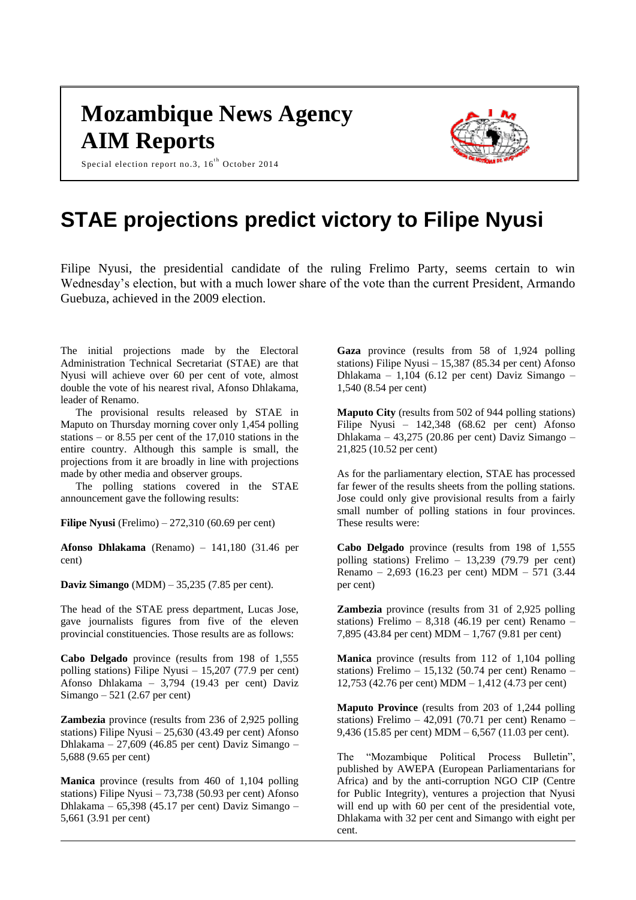## **Mozambique News Agency AIM Reports**



Special election report no.3,  $16^{th}$  October 2014

## **STAE projections predict victory to Filipe Nyusi**

Filipe Nyusi, the presidential candidate of the ruling Frelimo Party, seems certain to win Wednesday's election, but with a much lower share of the vote than the current President, Armando Guebuza, achieved in the 2009 election.

The initial projections made by the Electoral Administration Technical Secretariat (STAE) are that Nyusi will achieve over 60 per cent of vote, almost double the vote of his nearest rival, Afonso Dhlakama, leader of Renamo.

The provisional results released by STAE in Maputo on Thursday morning cover only 1,454 polling stations – or 8.55 per cent of the 17,010 stations in the entire country. Although this sample is small, the projections from it are broadly in line with projections made by other media and observer groups.

The polling stations covered in the STAE announcement gave the following results:

**Filipe Nyusi** (Frelimo) – 272,310 (60.69 per cent)

**Afonso Dhlakama** (Renamo) – 141,180 (31.46 per cent)

**Daviz Simango** (MDM) – 35,235 (7.85 per cent).

The head of the STAE press department, Lucas Jose, gave journalists figures from five of the eleven provincial constituencies. Those results are as follows:

**Cabo Delgado** province (results from 198 of 1,555 polling stations) Filipe Nyusi – 15,207 (77.9 per cent) Afonso Dhlakama – 3,794 (19.43 per cent) Daviz Simango – 521 (2.67 per cent)

**Zambezia** province (results from 236 of 2,925 polling stations) Filipe Nyusi – 25,630 (43.49 per cent) Afonso Dhlakama – 27,609 (46.85 per cent) Daviz Simango – 5,688 (9.65 per cent)

**Manica** province (results from 460 of 1,104 polling stations) Filipe Nyusi – 73,738 (50.93 per cent) Afonso Dhlakama – 65,398 (45.17 per cent) Daviz Simango – 5,661 (3.91 per cent)

**Gaza** province (results from 58 of 1,924 polling stations) Filipe Nyusi – 15,387 (85.34 per cent) Afonso Dhlakama – 1,104 (6.12 per cent) Daviz Simango – 1,540 (8.54 per cent)

**Maputo City** (results from 502 of 944 polling stations) Filipe Nyusi – 142,348 (68.62 per cent) Afonso Dhlakama – 43,275 (20.86 per cent) Daviz Simango – 21,825 (10.52 per cent)

As for the parliamentary election, STAE has processed far fewer of the results sheets from the polling stations. Jose could only give provisional results from a fairly small number of polling stations in four provinces. These results were:

**Cabo Delgado** province (results from 198 of 1,555 polling stations) Frelimo – 13,239 (79.79 per cent) Renamo – 2,693 (16.23 per cent) MDM – 571 (3.44 per cent)

**Zambezia** province (results from 31 of 2,925 polling stations) Frelimo – 8,318 (46.19 per cent) Renamo – 7,895 (43.84 per cent) MDM – 1,767 (9.81 per cent)

**Manica** province (results from 112 of 1,104 polling stations) Frelimo – 15,132 (50.74 per cent) Renamo – 12,753 (42.76 per cent) MDM – 1,412 (4.73 per cent)

**Maputo Province** (results from 203 of 1,244 polling stations) Frelimo  $-42,091$  (70.71 per cent) Renamo  $-$ 9,436 (15.85 per cent) MDM – 6,567 (11.03 per cent).

The "Mozambique Political Process Bulletin", published by AWEPA (European Parliamentarians for Africa) and by the anti-corruption NGO CIP (Centre for Public Integrity), ventures a projection that Nyusi will end up with 60 per cent of the presidential vote, Dhlakama with 32 per cent and Simango with eight per cent.